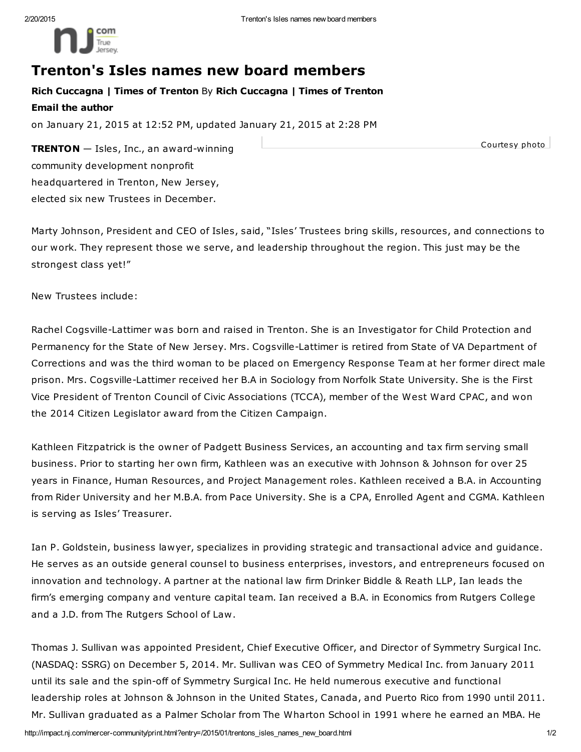

## Trenton's Isles names new board members

Rich Cuccagna | Times of Trenton By Rich Cuccagna | Times of Trenton Email the author

on January 21, 2015 at 12:52 PM, updated January 21, 2015 at 2:28 PM

**TRENTON**  $-$  Isles, Inc., an award-winning community development nonprofit headquartered in Trenton, New Jersey, elected six new Trustees in December.

Courtesy photo

Marty Johnson, President and CEO of Isles, said, "Isles' Trustees bring skills, resources, and connections to our work. They represent those we serve, and leadership throughout the region. This just may be the strongest class yet!"

New Trustees include:

Rachel Cogsville-Lattimer was born and raised in Trenton. She is an Investigator for Child Protection and Permanency for the State of New Jersey. Mrs. Cogsville-Lattimer is retired from State of VA Department of Corrections and was the third woman to be placed on Emergency Response Team at her former direct male prison. Mrs. Cogsville-Lattimer received her B.A in Sociology from Norfolk State University. She is the First Vice President of Trenton Council of Civic Associations (TCCA), member of the West Ward CPAC, and won the 2014 Citizen Legislator award from the Citizen Campaign.

Kathleen Fitzpatrick is the owner of Padgett Business Services, an accounting and tax firm serving small business. Prior to starting her own firm, Kathleen was an executive with Johnson & Johnson for over 25 years in Finance, Human Resources, and Project Management roles. Kathleen received a B.A. in Accounting from Rider University and her M.B.A. from Pace University. She is a CPA, Enrolled Agent and CGMA. Kathleen is serving as Isles' Treasurer.

Ian P. Goldstein, business lawyer, specializes in providing strategic and transactional advice and guidance. He serves as an outside general counsel to business enterprises, investors, and entrepreneurs focused on innovation and technology. A partner at the national law firm Drinker Biddle & Reath LLP, Ian leads the firm's emerging company and venture capital team. Ian received a B.A. in Economics from Rutgers College and a J.D. from The Rutgers School of Law.

Thomas J. Sullivan was appointed President, Chief Executive Officer, and Director of Symmetry Surgical Inc. (NASDAQ: SSRG) on December 5, 2014. Mr. Sullivan was CEO of Symmetry Medical Inc. from January 2011 until its sale and the spin-off of Symmetry Surgical Inc. He held numerous executive and functional leadership roles at Johnson & Johnson in the United States, Canada, and Puerto Rico from 1990 until 2011. Mr. Sullivan graduated as a Palmer Scholar from The Wharton School in 1991 where he earned an MBA. He